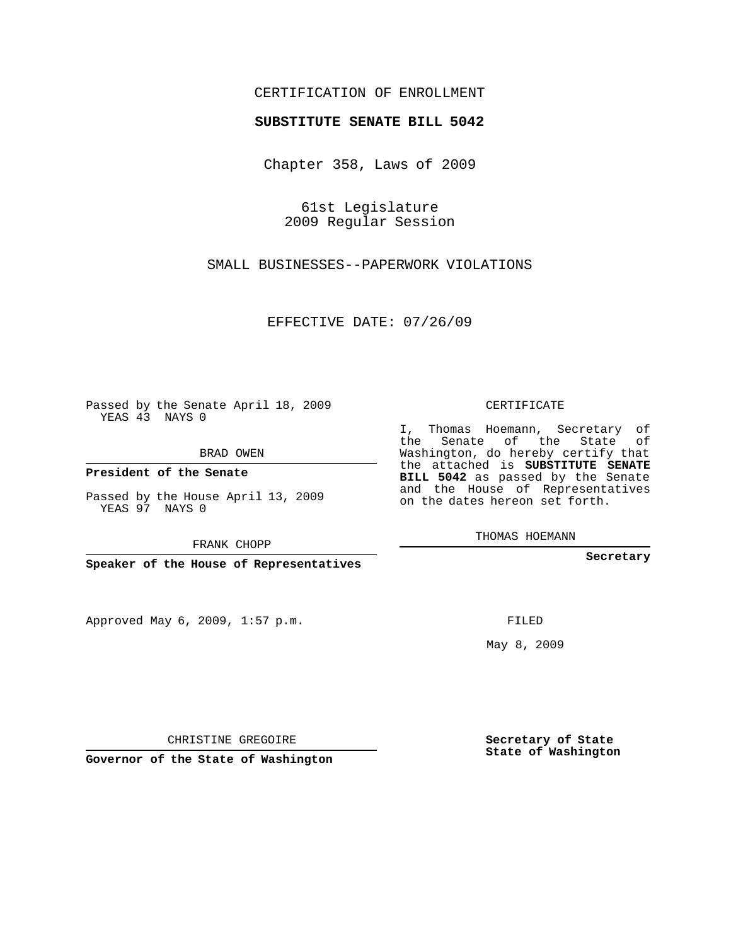## CERTIFICATION OF ENROLLMENT

### **SUBSTITUTE SENATE BILL 5042**

Chapter 358, Laws of 2009

61st Legislature 2009 Regular Session

SMALL BUSINESSES--PAPERWORK VIOLATIONS

EFFECTIVE DATE: 07/26/09

Passed by the Senate April 18, 2009 YEAS 43 NAYS 0

BRAD OWEN

**President of the Senate**

Passed by the House April 13, 2009 YEAS 97 NAYS 0

FRANK CHOPP

**Speaker of the House of Representatives**

Approved May 6, 2009, 1:57 p.m.

CERTIFICATE

I, Thomas Hoemann, Secretary of the Senate of the State of Washington, do hereby certify that the attached is **SUBSTITUTE SENATE BILL 5042** as passed by the Senate and the House of Representatives on the dates hereon set forth.

THOMAS HOEMANN

**Secretary**

FILED

May 8, 2009

**Secretary of State State of Washington**

CHRISTINE GREGOIRE

**Governor of the State of Washington**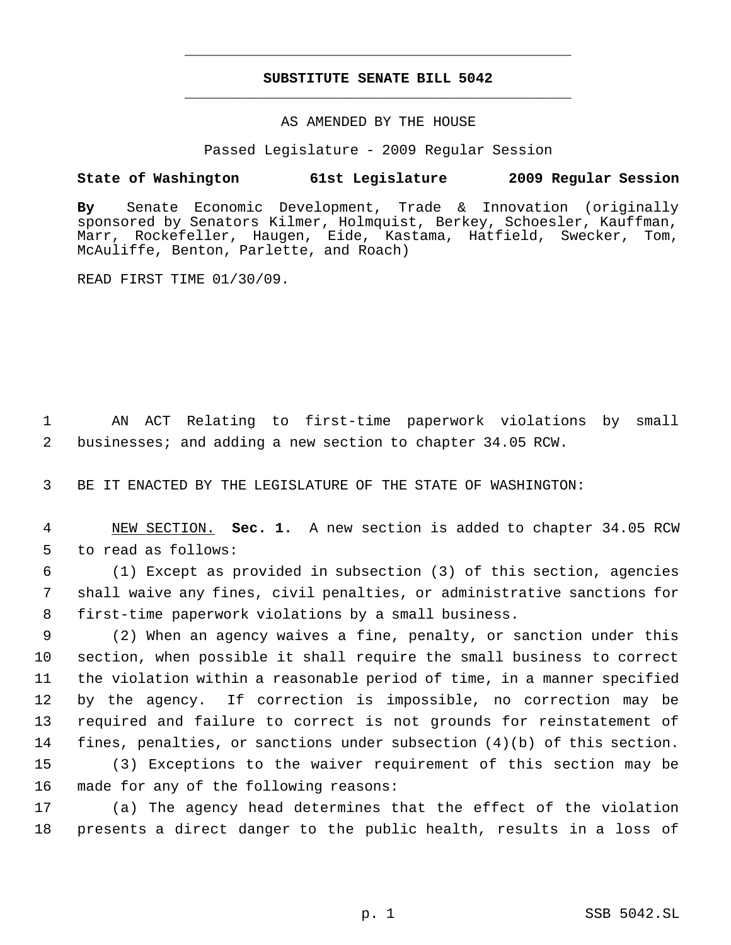# **SUBSTITUTE SENATE BILL 5042** \_\_\_\_\_\_\_\_\_\_\_\_\_\_\_\_\_\_\_\_\_\_\_\_\_\_\_\_\_\_\_\_\_\_\_\_\_\_\_\_\_\_\_\_\_

\_\_\_\_\_\_\_\_\_\_\_\_\_\_\_\_\_\_\_\_\_\_\_\_\_\_\_\_\_\_\_\_\_\_\_\_\_\_\_\_\_\_\_\_\_

### AS AMENDED BY THE HOUSE

Passed Legislature - 2009 Regular Session

### **State of Washington 61st Legislature 2009 Regular Session**

**By** Senate Economic Development, Trade & Innovation (originally sponsored by Senators Kilmer, Holmquist, Berkey, Schoesler, Kauffman, Marr, Rockefeller, Haugen, Eide, Kastama, Hatfield, Swecker, Tom, McAuliffe, Benton, Parlette, and Roach)

READ FIRST TIME 01/30/09.

 1 AN ACT Relating to first-time paperwork violations by small 2 businesses; and adding a new section to chapter 34.05 RCW.

3 BE IT ENACTED BY THE LEGISLATURE OF THE STATE OF WASHINGTON:

 4 NEW SECTION. **Sec. 1.** A new section is added to chapter 34.05 RCW 5 to read as follows:

 6 (1) Except as provided in subsection (3) of this section, agencies 7 shall waive any fines, civil penalties, or administrative sanctions for 8 first-time paperwork violations by a small business.

 (2) When an agency waives a fine, penalty, or sanction under this section, when possible it shall require the small business to correct the violation within a reasonable period of time, in a manner specified by the agency. If correction is impossible, no correction may be required and failure to correct is not grounds for reinstatement of fines, penalties, or sanctions under subsection (4)(b) of this section. (3) Exceptions to the waiver requirement of this section may be made for any of the following reasons:

17 (a) The agency head determines that the effect of the violation 18 presents a direct danger to the public health, results in a loss of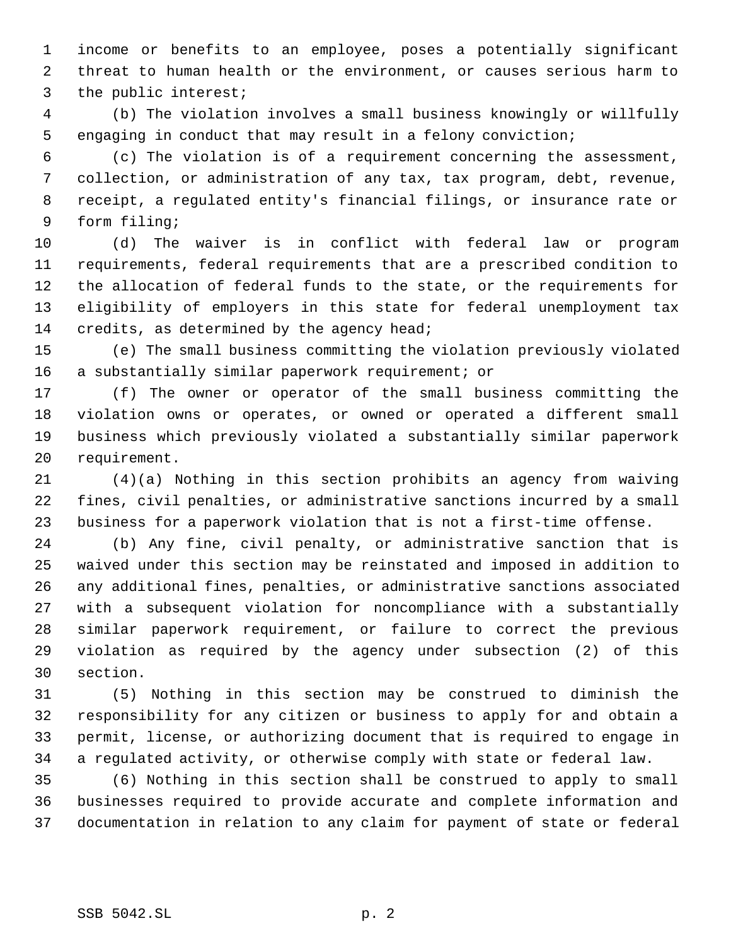income or benefits to an employee, poses a potentially significant threat to human health or the environment, or causes serious harm to the public interest;

 (b) The violation involves a small business knowingly or willfully engaging in conduct that may result in a felony conviction;

 (c) The violation is of a requirement concerning the assessment, collection, or administration of any tax, tax program, debt, revenue, receipt, a regulated entity's financial filings, or insurance rate or form filing;

 (d) The waiver is in conflict with federal law or program requirements, federal requirements that are a prescribed condition to the allocation of federal funds to the state, or the requirements for eligibility of employers in this state for federal unemployment tax 14 credits, as determined by the agency head;

 (e) The small business committing the violation previously violated a substantially similar paperwork requirement; or

 (f) The owner or operator of the small business committing the violation owns or operates, or owned or operated a different small business which previously violated a substantially similar paperwork requirement.

 (4)(a) Nothing in this section prohibits an agency from waiving fines, civil penalties, or administrative sanctions incurred by a small business for a paperwork violation that is not a first-time offense.

 (b) Any fine, civil penalty, or administrative sanction that is waived under this section may be reinstated and imposed in addition to any additional fines, penalties, or administrative sanctions associated with a subsequent violation for noncompliance with a substantially similar paperwork requirement, or failure to correct the previous violation as required by the agency under subsection (2) of this section.

 (5) Nothing in this section may be construed to diminish the responsibility for any citizen or business to apply for and obtain a permit, license, or authorizing document that is required to engage in a regulated activity, or otherwise comply with state or federal law.

 (6) Nothing in this section shall be construed to apply to small businesses required to provide accurate and complete information and documentation in relation to any claim for payment of state or federal